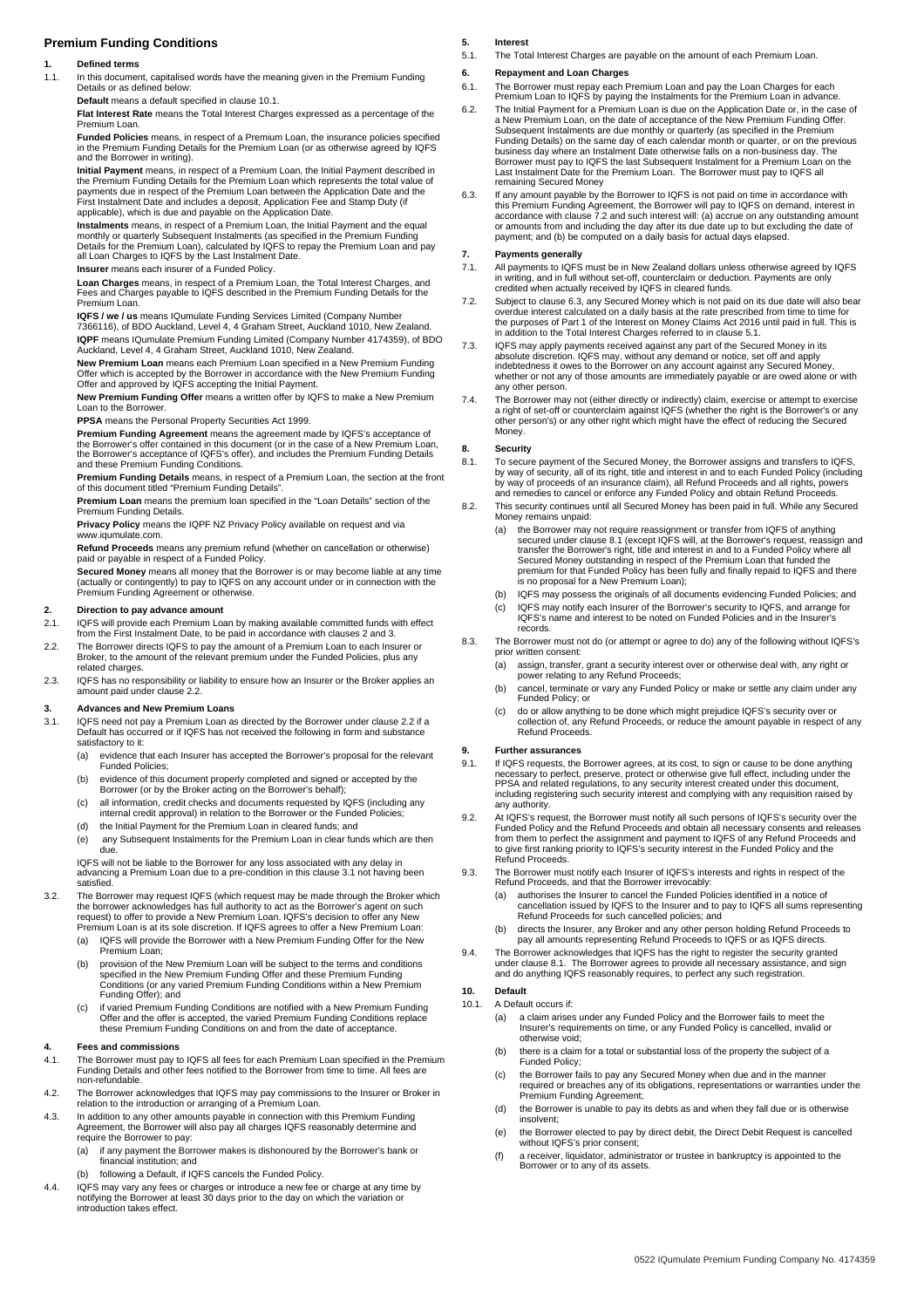# **Premium Funding Conditions**

## **1. Defined terms**

1.1. In this document, capitalised words have the meaning given in the Premium Funding Details or as defined below:

# **Default** means a default specified in clause 10.1.

**Flat Interest Rate** means the Total Interest Charges expressed as a percentage of the Premium Loan.

**Funded Policies** means, in respect of a Premium Loan, the insurance policies specified<br>in the Premium Funding Details for the Premium Loan (or as otherwise agreed by IQFS<br>and the Borrower in writing).

**Initial Payment** means, in respect of a Premium Loan, the Initial Payment described in the Premium Funding Details for the Premium Loan which represents the total value of<br>payments due in respect of the Premium Loan between the Application Date and the<br>First Instalment Date and includes a deposit, Applicatio applicable), which is due and payable on the Application Date.

**Instalments** means, in respect of a Premium Loan, the Initial Payment and the equal monthly or quarterly Subsequent Instalments (as specified in the Premium Funding Details for the Premium Loan), calculated by IQFS to repay the Premium Loan and pay all Loan Charges to IQFS by the Last Instalment Date.

## **Insurer** means each insurer of a Funded Policy.

**Loan Charges** means, in respect of a Premium Loan, the Total Interest Charges, and Fees and Charges payable to IQFS described in the Premium Funding Details for the Premium Loan.

**IQFS / we / us** means IQumulate Funding Services Limited (Company Number 7366116), of BDO Auckland, Level 4, 4 Graham Street, Auckland 1010, New Zealand. **IQPF** means IQumulate Premium Funding Limited (Company Number 4174359), of BDO Auckland, Level 4, 4 Graham Street, Auckland 1010, New Zealand.

**New Premium Loan** means each Premium Loan specified in a New Premium Funding Offer which is accepted by the Borrower in accordance with the New Premium Funding Offer and approved by IQFS accepting the Initial Payment.

**New Premium Funding Offer** means a written offer by IQFS to make a New Premium Loan to the Borrower.

**PPSA** means the Personal Property Securities Act 1999.

**Premium Funding Agreement** means the agreement made by IQFS's acceptance of<br>the Borrower's offer contained in this document (or in the case of a New Premium Loan,<br>the Borrower's acceptance of IQFS's offer), and includes t and these Premium Funding Conditions.

**Premium Funding Details** means, in respect of a Premium Loan, the section at the front of this document titled "Premium Funding Details".

**Premium Loan** means the premium loan specified in the "Loan Details" section of the Premium Funding Details.

**Privacy Policy** means the IQPF NZ Privacy Policy available on request and via www.iqumulate.com.

**Refund Proceeds** means any premium refund (whether on cancellation or otherwise) paid or payable in respect of a Funded Policy.

**Secured Money** means all money that the Borrower is or may become liable at any time (actually or contingently) to pay to IQFS on any account under or in connection with the Premium Funding Agreement or otherwise.

### **2. Direction to pay advance amount**

- 2.1. IQFS will provide each Premium Loan by making available committed funds with effect from the First Instalment Date, to be paid in accordance with clauses 2 and 3.
- 2.2. The Borrower directs IQFS to pay the amount of a Premium Loan to each Insurer or Broker, to the amount of the relevant premium under the Funded Policies, plus any related charges.
- 2.3. IQFS has no responsibility or liability to ensure how an Insurer or the Broker applies an amount paid under clause 2.2.

#### **3. Advances and New Premium Loans**

- 3.1. IQFS need not pay a Premium Loan as directed by the Borrower under clause 2.2 if a Default has occurred or if IQFS has not received the following in form and substance satisfactory to it:
	- (a) evidence that each Insurer has accepted the Borrower's proposal for the relevant Funded Policies;
	- (b) evidence of this document properly completed and signed or accepted by the Borrower (or by the Broker acting on the Borrower's behalf);
	- (c) all information, credit checks and documents requested by IQFS (including any internal credit approval) in relation to the Borrower or the Funded Policies;
	- (d) the Initial Payment for the Premium Loan in cleared funds; and  $\overrightarrow{e}$  any Subsequent Instalments for the Premium Loan in clear funds which are then

ر....<br>due

IQFS will not be liable to the Borrower for any loss associated with any delay in advancing a Premium Loan due to a pre-condition in this clause 3.1 not having been satisfied.

3.2. The Borrower may request IQFS (which request may be made through the Broker which<br>the borrower acknowledges has full authority to act as the Borrower's agent on such<br>request) to offer to provide a New Premium Loan. IQ

- Premium Loan is at its sole discretion. If IQFS agrees to offer a New Premium Loan: (a) IQFS will provide the Borrower with a New Premium Funding Offer for the New Premium Loan;
- (b) provision of the New Premium Loan will be subject to the terms and conditions specified in the New Premium Funding Offer and these Premium Funding Conditions (or any varied Premium Funding Conditions within a New Premium Funding Offer); and
- (c) if varied Premium Funding Conditions are notified with a New Premium Funding Offer and the offer is accepted, the varied Premium Funding Conditions replace these Premium Funding Conditions on and from the date of acceptance.

#### **4. Fees and commissions**

- 4.1. The Borrower must pay to IQFS all fees for each Premium Loan specified in the Premium Funding Details and other fees notified to the Borrower from time to time. All fees are non-refundable.
- 4.2. The Borrower acknowledges that IQFS may pay commissions to the Insurer or Broker in relation to the introduction or arranging of a Premium Loan.
- 4.3. In addition to any other amounts payable in connection with this Premium Funding Agreement, the Borrower will also pay all charges IQFS reasonably determine and require the Borrower to pay:
	- (a) if any payment the Borrower makes is dishonoured by the Borrower's bank or financial institution; and
	- (b) following a Default, if IQFS cancels the Funded Policy.
- 4.4. IQFS may vary any fees or charges or introduce a new fee or charge at any time by notifying the Borrower at least 30 days prior to the day on which the variation or introduction takes effect.

### **5. Interest**

5.1. The Total Interest Charges are payable on the amount of each Premium Loan.

### **6. Repayment and Loan Charges**

- 6.1. The Borrower must repay each Premium Loan and pay the Loan Charges for each Premium Loan to IQFS by paying the Instalments for the Premium Loan in advance.
- 6.2. The Initial Payment for a Premium Loan is due on the Application Date or, in the case of a New Premium Loan, on the date of acceptance of the New Premium Funding Offer. Subsequent Instalments are due monthly or quarterly (as specified in the Premium Funding Details) on the same day of each calendar month or quarter, or on the previous<br>business day where an Instalment Date otherwise falls on a non-business day. The<br>Borrower must pay to IQFS the last Subsequent Instalme remaining Secured Money
- 6.3. If any amount payable by the Borrower to IQFS is not paid on time in accordance with<br>this Premium Funding Agreement, the Borrower will pay to IQFS on demand, interest in<br>accordance with clause 7.2 and such interest wi payment; and (b) be computed on a daily basis for actual days elapsed.

### **7. Payments generally**

- 7.1. All payments to IQFS must be in New Zealand dollars unless otherwise agreed by IQFS in writing, and in full without set-off, counterclaim or deduction. Payments are only credited when actually received by IQFS in cleared funds.
- 7.2. Subject to clause 6.3, any Secured Money which is not paid on its due date will also bear overdue interest calculated on a daily basis at the rate prescribed from time to time for<br>the purposes of Part 1 of the Interest on Money Claims Act 2016 until paid in full. This is<br>in addition to the Total Interest Charge
- 7.3. IQFS may apply payments received against any part of the Secured Money in its<br>absolute discretion. IQFS may, without any demand or notice, set off and apply<br>indebtedness it owes to the Borrower on any account against whether or not any of those amounts are immediately payable or are owed alone or with any other person.
- 7.4. The Borrower may not (either directly or indirectly) claim, exercise or attempt to exercise<br>a right of set-off or counterclaim against IQFS (whether the right is the Borrower's or any<br>other person's) or any other righ Money.

#### **8. Security**

- 8.1. To secure payment of the Secured Money, the Borrower assigns and transfers to IQFS, by way of security, all of its right, title and interest in and to each Funded Policy (including by way of proceeds of an insurance claim), all Refund Proceeds and all rights, powers and remedies to cancel or enforce any Funded Policy and obtain Refund Proceeds.
- 8.2. This security continues until all Secured Money has been paid in full. While any Secured Money remains unpaid:
	- (a) the Borrower may not require reassignment or transfer from IQFS of anything<br>secured under clause 8.1 (except IQFS will, at the Borrower's request, reassign and<br>transfer the Borrower's right, title and interest in and t Secured Money outstanding in respect of the Premium Loan that funded the premium for that Funded Policy has been fully and finally repaid to IQFS and there is no proposal for a New Premium Loan);
	- (b) IQFS may possess the originals of all documents evidencing Funded Policies; and (c) IQFS may notify each Insurer of the Borrower's security to IQFS, and arrange for IQFS's name and interest to be noted on Funded Policies and in the Insurer records.
- 8.3. The Borrower must not do (or attempt or agree to do) any of the following without IQFS's prior written consent:
	- (a) assign, transfer, grant a security interest over or otherwise deal with, any right or power relating to any Refund Proceeds;
	- (b) cancel, terminate or vary any Funded Policy or make or settle any claim under any Funded Policy; or
	- (c) do or allow anything to be done which might prejudice IQFS's security over or collection of, any Refund Proceeds, or reduce the amount payable in respect of any Refund Proceeds.

### **9. Further assurances**

- 9.1. If IQFS requests, the Borrower agrees, at its cost, to sign or cause to be done anything necessary to perfect, preserve, protect or otherwise give full effect, including under the<br>PPSA and related regulations, to any security interest created under this document,<br>including registering such security interest an any authority.
- 9.2. At IQFS's request, the Borrower must notify all such persons of IQFS's security over the Funded Policy and the Refund Proceeds and obtain all necessary consents and releases from them to perfect the assignment and payment to IQFS of any Refund Proceeds and to give first ranking priority to IQFS's security interest in the Funded Policy and the Refund Proceeds.
- 9.3. The Borrower must notify each Insurer of IQFS's interests and rights in respect of the Refund Proceeds, and that the Borrower irrevocably:
	- (a) authorises the Insurer to cancel the Funded Policies identified in a notice of cancellation issued by IQFS to the Insurer and to pay to IQFS all sums representing Refund Proceeds for such cancelled policies; and
	- (b) directs the Insurer, any Broker and any other person holding Refund Proceeds to pay all amounts representing Refund Proceeds to IQFS or as IQFS directs.
- 9.4. The Borrower acknowledges that IQFS has the right to register the security granted under clause 8.1. The Borrower agrees to provide all necessary assistance, and sign and do anything IQFS reasonably requires, to perfect any such registration.

## **10. Default**

- 10.1. A Default occurs if:
	- (a) a claim arises under any Funded Policy and the Borrower fails to meet the Insurer's requirements on time, or any Funded Policy is cancelled, invalid or otherwise void;
	- (b) there is a claim for a total or substantial loss of the property the subject of a Funded Policy;
	- (c) the Borrower fails to pay any Secured Money when due and in the manner required or breaches any of its obligations, representations or warranties under the Premium Funding Agreement;
	- (d) the Borrower is unable to pay its debts as and when they fall due or is otherwise insolvent;
	- (e) the Borrower elected to pay by direct debit, the Direct Debit Request is cancelled without IQFS's prior consent;
	- (f) a receiver, liquidator, administrator or trustee in bankruptcy is appointed to the Borrower or to any of its assets.